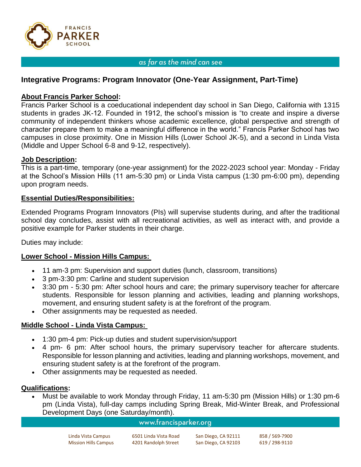

#### as far as the mind can see

## **Integrative Programs: Program Innovator (One-Year Assignment, Part-Time)**

## **About Francis Parker School:**

Francis Parker School is a coeducational independent day school in San Diego, California with 1315 students in grades JK-12. Founded in 1912, the school's mission is "to create and inspire a diverse community of independent thinkers whose academic excellence, global perspective and strength of character prepare them to make a meaningful difference in the world." Francis Parker School has two campuses in close proximity. One in Mission Hills (Lower School JK-5), and a second in Linda Vista (Middle and Upper School 6-8 and 9-12, respectively).

#### **Job Description:**

This is a part-time, temporary (one-year assignment) for the 2022-2023 school year: Monday - Friday at the School's Mission Hills (11 am-5:30 pm) or Linda Vista campus (1:30 pm-6:00 pm), depending upon program needs.

#### **Essential Duties/Responsibilities:**

Extended Programs Program Innovators (PIs) will supervise students during, and after the traditional school day concludes, assist with all recreational activities, as well as interact with, and provide a positive example for Parker students in their charge.

Duties may include:

#### **Lower School - Mission Hills Campus:**

- 11 am-3 pm: Supervision and support duties (lunch, classroom, transitions)
- 3 pm-3:30 pm: Carline and student supervision
- 3:30 pm 5:30 pm: After school hours and care; the primary supervisory teacher for aftercare students. Responsible for lesson planning and activities, leading and planning workshops, movement, and ensuring student safety is at the forefront of the program.
- Other assignments may be requested as needed.

## **Middle School - Linda Vista Campus:**

- 1:30 pm-4 pm: Pick-up duties and student supervision/support
- 4 pm- 6 pm: After school hours, the primary supervisory teacher for aftercare students. Responsible for lesson planning and activities, leading and planning workshops, movement, and ensuring student safety is at the forefront of the program.
- Other assignments may be requested as needed.

#### **Qualifications:**

• Must be available to work Monday through Friday, 11 am-5:30 pm (Mission Hills) or 1:30 pm-6 pm (Linda Vista), full-day camps including Spring Break, Mid-Winter Break, and Professional Development Days (one Saturday/month).

# www.francisparker.org

| Linda Vista Campus          | 6501 Linda Vista Road | San Diego, CA 92111 | 858 / 569-7900 |
|-----------------------------|-----------------------|---------------------|----------------|
| <b>Mission Hills Campus</b> | 4201 Randolph Street  | San Diego, CA 92103 | 619 / 298-9110 |